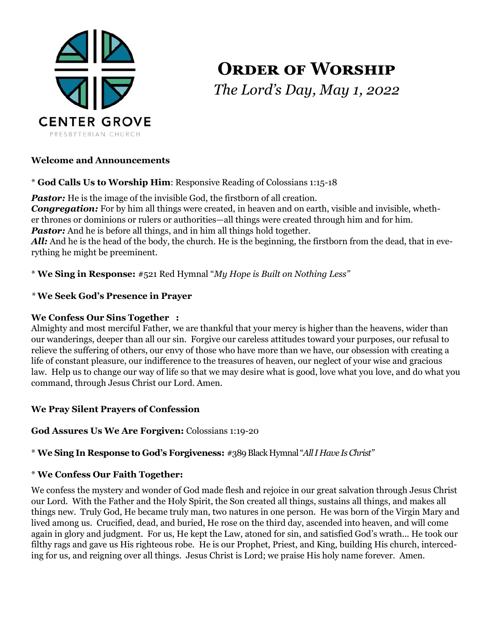

# **ORDER OF WORSHIP** *The Lord's Day, May 1, 2022*

#### **Welcome and Announcements**

\* **God Calls Us to Worship Him**: Responsive Reading of Colossians 1:15-18

**Pastor:** He is the image of the invisible God, the firstborn of all creation. *Congregation:* For by him all things were created, in heaven and on earth, visible and invisible, whether thrones or dominions or rulers or authorities—all things were created through him and for him. **Pastor:** And he is before all things, and in him all things hold together. *All:* And he is the head of the body, the church. He is the beginning, the firstborn from the dead, that in everything he might be preeminent.

\* **We Sing in Response:** #521 Red Hymnal "*My Hope is Built on Nothing Less"*

#### *\** **We Seek God's Presence in Prayer**

#### **We Confess Our Sins Together :**

Almighty and most merciful Father, we are thankful that your mercy is higher than the heavens, wider than our wanderings, deeper than all our sin. Forgive our careless attitudes toward your purposes, our refusal to relieve the suffering of others, our envy of those who have more than we have, our obsession with creating a life of constant pleasure, our indifference to the treasures of heaven, our neglect of your wise and gracious law. Help us to change our way of life so that we may desire what is good, love what you love, and do what you command, through Jesus Christ our Lord. Amen.

#### **We Pray Silent Prayers of Confession**

#### **God Assures Us We Are Forgiven:** Colossians 1:19-20

#### \* **We Sing In Response to God's Forgiveness:** #389 Black Hymnal "*All I Have Is Christ"*

#### \* **We Confess Our Faith Together:**

We confess the mystery and wonder of God made flesh and rejoice in our great salvation through Jesus Christ our Lord. With the Father and the Holy Spirit, the Son created all things, sustains all things, and makes all things new. Truly God, He became truly man, two natures in one person. He was born of the Virgin Mary and lived among us. Crucified, dead, and buried, He rose on the third day, ascended into heaven, and will come again in glory and judgment. For us, He kept the Law, atoned for sin, and satisfied God's wrath... He took our filthy rags and gave us His righteous robe. He is our Prophet, Priest, and King, building His church, interceding for us, and reigning over all things. Jesus Christ is Lord; we praise His holy name forever. Amen.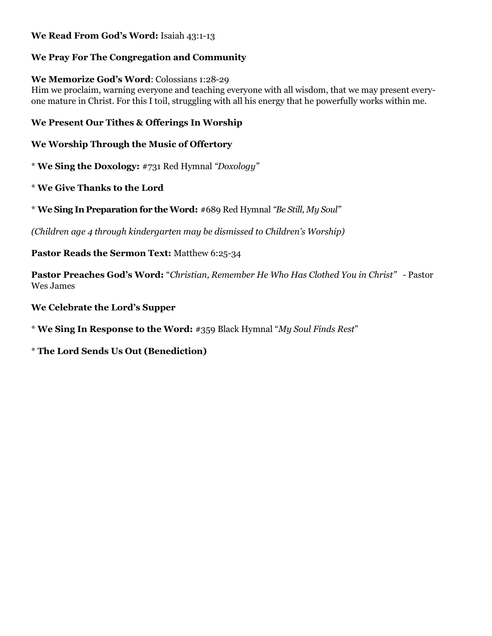#### **We Read From God's Word:** Isaiah 43:1-13

#### **We Pray For The Congregation and Community**

#### **We Memorize God's Word**: Colossians 1:28-29

Him we proclaim, warning everyone and teaching everyone with all wisdom, that we may present everyone mature in Christ. For this I toil, struggling with all his energy that he powerfully works within me.

#### **We Present Our Tithes & Offerings In Worship**

#### **We Worship Through the Music of Offertory**

\* **We Sing the Doxology:** #731 Red Hymnal *"Doxology"*

#### \* **We Give Thanks to the Lord**

\* **We Sing In Preparation for the Word:** #689 Red Hymnal *"Be Still, My Soul"*

*(Children age 4 through kindergarten may be dismissed to Children's Worship)*

#### **Pastor Reads the Sermon Text:** Matthew 6:25-34

**Pastor Preaches God's Word:** "*Christian, Remember He Who Has Clothed You in Christ" -* Pastor Wes James

#### **We Celebrate the Lord's Supper**

\* **We Sing In Response to the Word:** #359 Black Hymnal "*My Soul Finds Rest*"

#### \* **The Lord Sends Us Out (Benediction)**